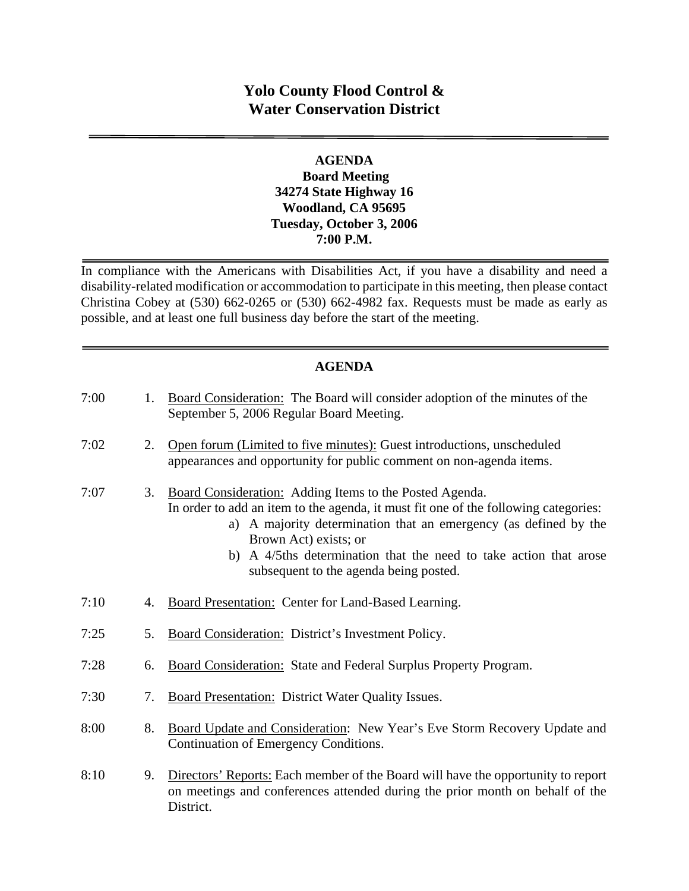# **Yolo County Flood Control & Water Conservation District**

#### **AGENDA Board Meeting 34274 State Highway 16 Woodland, CA 95695 Tuesday, October 3, 2006 7:00 P.M.**

In compliance with the Americans with Disabilities Act, if you have a disability and need a disability-related modification or accommodation to participate in this meeting, then please contact Christina Cobey at (530) 662-0265 or (530) 662-4982 fax. Requests must be made as early as possible, and at least one full business day before the start of the meeting.

# **AGENDA**

| 7:00 | 1. | Board Consideration: The Board will consider adoption of the minutes of the<br>September 5, 2006 Regular Board Meeting.                                                                                                                                                                                                                                    |
|------|----|------------------------------------------------------------------------------------------------------------------------------------------------------------------------------------------------------------------------------------------------------------------------------------------------------------------------------------------------------------|
| 7:02 | 2. | Open forum (Limited to five minutes): Guest introductions, unscheduled<br>appearances and opportunity for public comment on non-agenda items.                                                                                                                                                                                                              |
| 7:07 | 3. | Board Consideration: Adding Items to the Posted Agenda.<br>In order to add an item to the agenda, it must fit one of the following categories:<br>a) A majority determination that an emergency (as defined by the<br>Brown Act) exists; or<br>b) A 4/5ths determination that the need to take action that arose<br>subsequent to the agenda being posted. |
| 7:10 | 4. | Board Presentation: Center for Land-Based Learning.                                                                                                                                                                                                                                                                                                        |
| 7:25 | 5. | Board Consideration: District's Investment Policy.                                                                                                                                                                                                                                                                                                         |
| 7:28 | 6. | <b>Board Consideration: State and Federal Surplus Property Program.</b>                                                                                                                                                                                                                                                                                    |
| 7:30 | 7. | <b>Board Presentation:</b> District Water Quality Issues.                                                                                                                                                                                                                                                                                                  |
| 8:00 | 8. | Board Update and Consideration: New Year's Eve Storm Recovery Update and<br>Continuation of Emergency Conditions.                                                                                                                                                                                                                                          |
| 8:10 | 9. | Directors' Reports: Each member of the Board will have the opportunity to report<br>on meetings and conferences attended during the prior month on behalf of the                                                                                                                                                                                           |

District.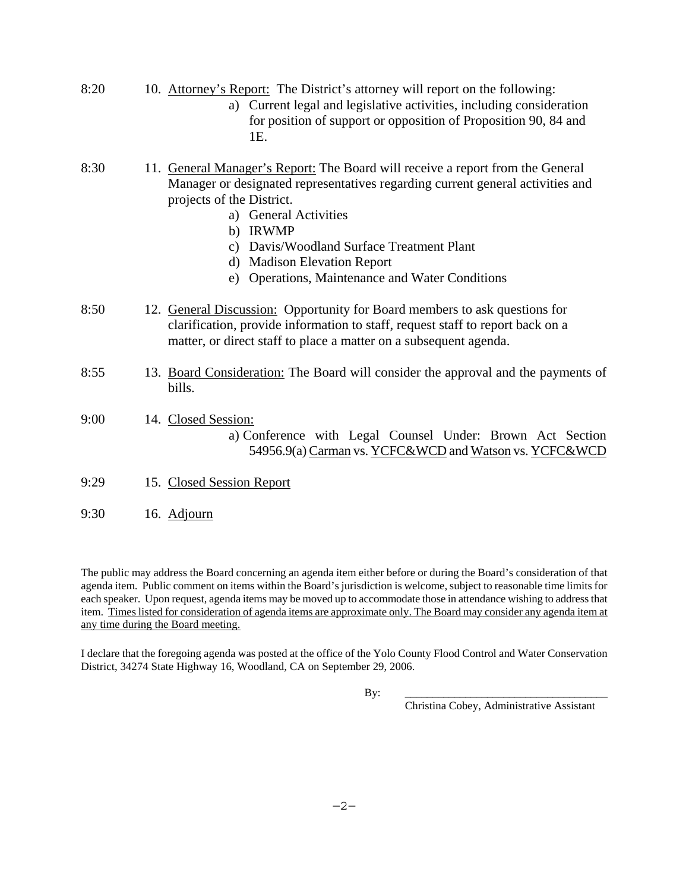| 8:20 | 10. Attorney's Report: The District's attorney will report on the following:<br>a) Current legal and legislative activities, including consideration<br>for position of support or opposition of Proposition 90, 84 and<br>1E.                                                                                                                                    |
|------|-------------------------------------------------------------------------------------------------------------------------------------------------------------------------------------------------------------------------------------------------------------------------------------------------------------------------------------------------------------------|
| 8:30 | 11. General Manager's Report: The Board will receive a report from the General<br>Manager or designated representatives regarding current general activities and<br>projects of the District.<br>a) General Activities<br>b) IRWMP<br>c) Davis/Woodland Surface Treatment Plant<br>d) Madison Elevation Report<br>e) Operations, Maintenance and Water Conditions |
| 8:50 | 12. General Discussion: Opportunity for Board members to ask questions for<br>clarification, provide information to staff, request staff to report back on a<br>matter, or direct staff to place a matter on a subsequent agenda.                                                                                                                                 |
| 8:55 | 13. Board Consideration: The Board will consider the approval and the payments of<br>bills.                                                                                                                                                                                                                                                                       |
| 9:00 | 14. Closed Session:<br>a) Conference with Legal Counsel Under: Brown Act Section<br>54956.9(a) Carman vs. YCFC&WCD and Watson vs. YCFC&WCD                                                                                                                                                                                                                        |
| 9:29 | 15. Closed Session Report                                                                                                                                                                                                                                                                                                                                         |
| 9:30 | 16. Adjourn                                                                                                                                                                                                                                                                                                                                                       |

The public may address the Board concerning an agenda item either before or during the Board's consideration of that agenda item. Public comment on items within the Board's jurisdiction is welcome, subject to reasonable time limits for each speaker. Upon request, agenda items may be moved up to accommodate those in attendance wishing to address that item. Times listed for consideration of agenda items are approximate only. The Board may consider any agenda item at any time during the Board meeting.

I declare that the foregoing agenda was posted at the office of the Yolo County Flood Control and Water Conservation District, 34274 State Highway 16, Woodland, CA on September 29, 2006.

By: \_\_\_\_\_\_\_\_\_\_\_\_\_\_\_\_\_\_\_\_\_\_\_\_\_\_\_\_\_\_\_\_\_\_\_\_\_

Christina Cobey, Administrative Assistant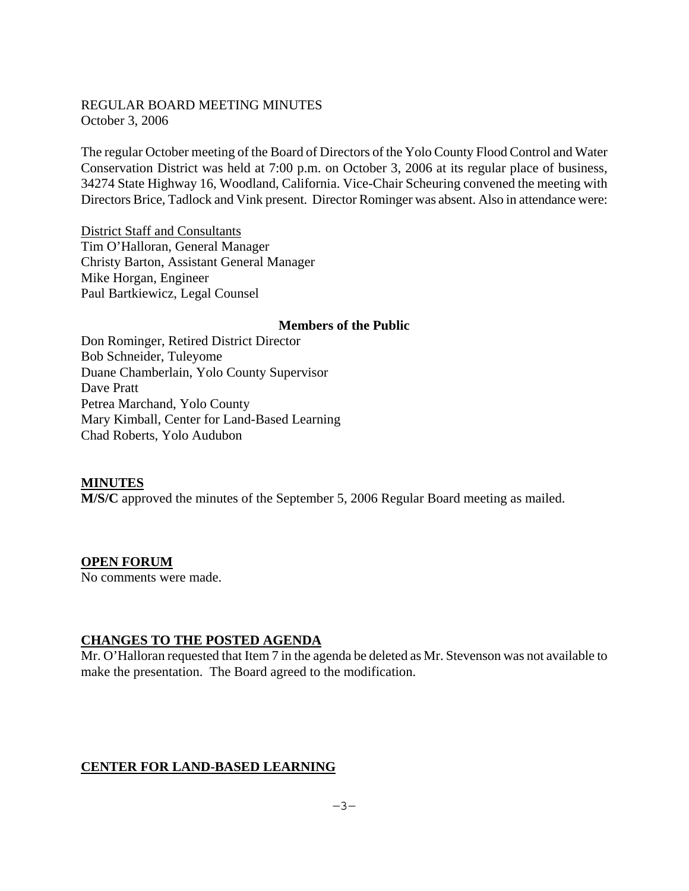#### REGULAR BOARD MEETING MINUTES October 3, 2006

The regular October meeting of the Board of Directors of the Yolo County Flood Control and Water Conservation District was held at 7:00 p.m. on October 3, 2006 at its regular place of business, 34274 State Highway 16, Woodland, California. Vice-Chair Scheuring convened the meeting with Directors Brice, Tadlock and Vink present. Director Rominger was absent. Also in attendance were:

District Staff and Consultants Tim O'Halloran, General Manager Christy Barton, Assistant General Manager Mike Horgan, Engineer Paul Bartkiewicz, Legal Counsel

#### **Members of the Public**

Don Rominger, Retired District Director Bob Schneider, Tuleyome Duane Chamberlain, Yolo County Supervisor Dave Pratt Petrea Marchand, Yolo County Mary Kimball, Center for Land-Based Learning Chad Roberts, Yolo Audubon

#### **MINUTES**

**M/S/C** approved the minutes of the September 5, 2006 Regular Board meeting as mailed.

#### **OPEN FORUM**

No comments were made.

# **CHANGES TO THE POSTED AGENDA**

Mr. O'Halloran requested that Item 7 in the agenda be deleted as Mr. Stevenson was not available to make the presentation. The Board agreed to the modification.

# **CENTER FOR LAND-BASED LEARNING**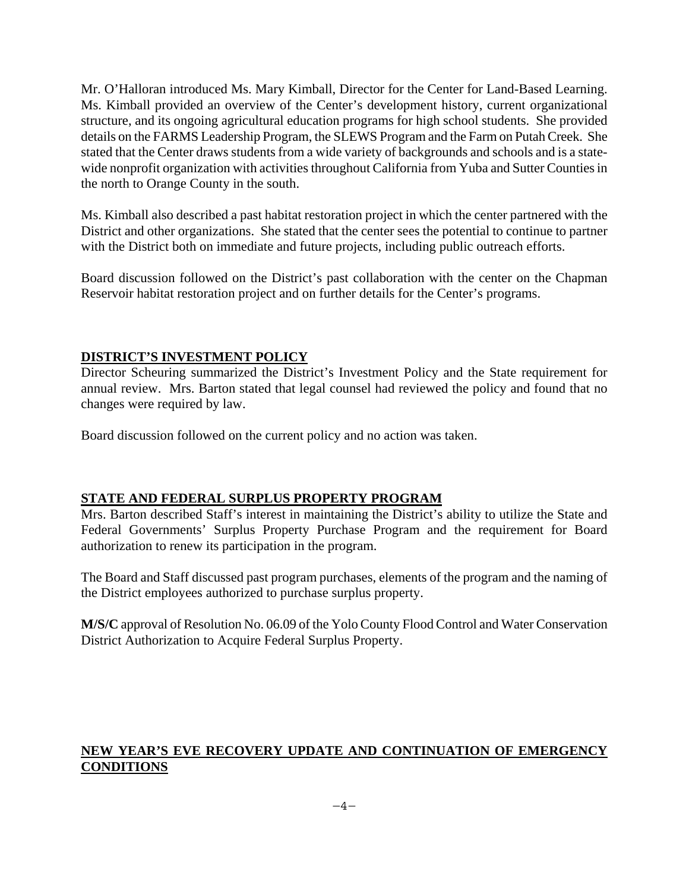Mr. O'Halloran introduced Ms. Mary Kimball, Director for the Center for Land-Based Learning. Ms. Kimball provided an overview of the Center's development history, current organizational structure, and its ongoing agricultural education programs for high school students. She provided details on the FARMS Leadership Program, the SLEWS Program and the Farm on Putah Creek. She stated that the Center draws students from a wide variety of backgrounds and schools and is a statewide nonprofit organization with activities throughout California from Yuba and Sutter Counties in the north to Orange County in the south.

Ms. Kimball also described a past habitat restoration project in which the center partnered with the District and other organizations. She stated that the center sees the potential to continue to partner with the District both on immediate and future projects, including public outreach efforts.

Board discussion followed on the District's past collaboration with the center on the Chapman Reservoir habitat restoration project and on further details for the Center's programs.

# **DISTRICT'S INVESTMENT POLICY**

Director Scheuring summarized the District's Investment Policy and the State requirement for annual review. Mrs. Barton stated that legal counsel had reviewed the policy and found that no changes were required by law.

Board discussion followed on the current policy and no action was taken.

# **STATE AND FEDERAL SURPLUS PROPERTY PROGRAM**

Mrs. Barton described Staff's interest in maintaining the District's ability to utilize the State and Federal Governments' Surplus Property Purchase Program and the requirement for Board authorization to renew its participation in the program.

The Board and Staff discussed past program purchases, elements of the program and the naming of the District employees authorized to purchase surplus property.

**M/S/C** approval of Resolution No. 06.09 of the Yolo County Flood Control and Water Conservation District Authorization to Acquire Federal Surplus Property.

# **NEW YEAR'S EVE RECOVERY UPDATE AND CONTINUATION OF EMERGENCY CONDITIONS**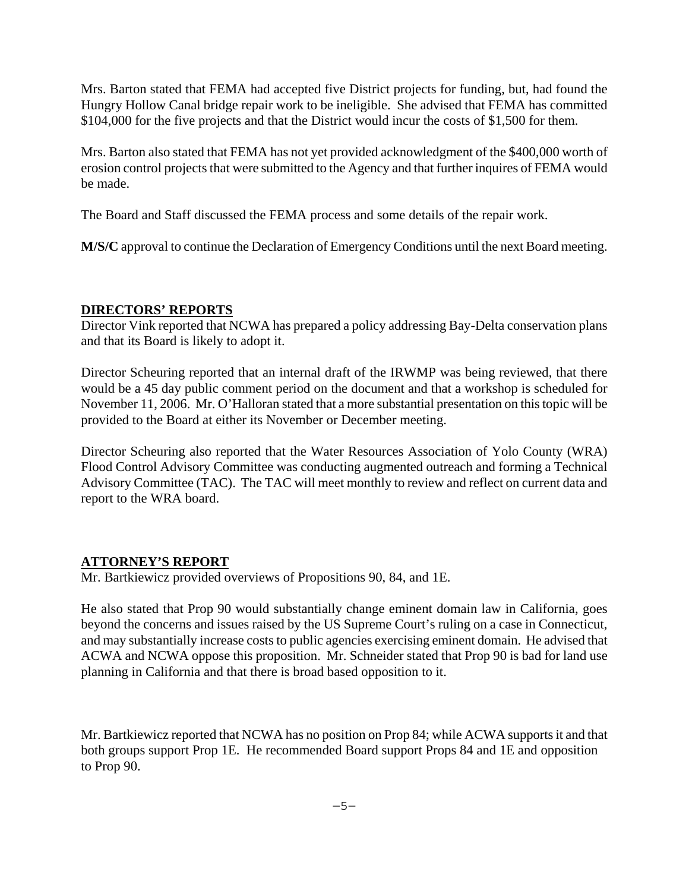Mrs. Barton stated that FEMA had accepted five District projects for funding, but, had found the Hungry Hollow Canal bridge repair work to be ineligible. She advised that FEMA has committed \$104,000 for the five projects and that the District would incur the costs of \$1,500 for them.

Mrs. Barton also stated that FEMA has not yet provided acknowledgment of the \$400,000 worth of erosion control projects that were submitted to the Agency and that further inquires of FEMA would be made.

The Board and Staff discussed the FEMA process and some details of the repair work.

**M/S/C** approval to continue the Declaration of Emergency Conditions until the next Board meeting.

# **DIRECTORS' REPORTS**

Director Vink reported that NCWA has prepared a policy addressing Bay-Delta conservation plans and that its Board is likely to adopt it.

Director Scheuring reported that an internal draft of the IRWMP was being reviewed, that there would be a 45 day public comment period on the document and that a workshop is scheduled for November 11, 2006. Mr. O'Halloran stated that a more substantial presentation on this topic will be provided to the Board at either its November or December meeting.

Director Scheuring also reported that the Water Resources Association of Yolo County (WRA) Flood Control Advisory Committee was conducting augmented outreach and forming a Technical Advisory Committee (TAC). The TAC will meet monthly to review and reflect on current data and report to the WRA board.

# **ATTORNEY'S REPORT**

Mr. Bartkiewicz provided overviews of Propositions 90, 84, and 1E.

He also stated that Prop 90 would substantially change eminent domain law in California, goes beyond the concerns and issues raised by the US Supreme Court's ruling on a case in Connecticut, and may substantially increase costs to public agencies exercising eminent domain. He advised that ACWA and NCWA oppose this proposition. Mr. Schneider stated that Prop 90 is bad for land use planning in California and that there is broad based opposition to it.

Mr. Bartkiewicz reported that NCWA has no position on Prop 84; while ACWA supports it and that both groups support Prop 1E. He recommended Board support Props 84 and 1E and opposition to Prop 90.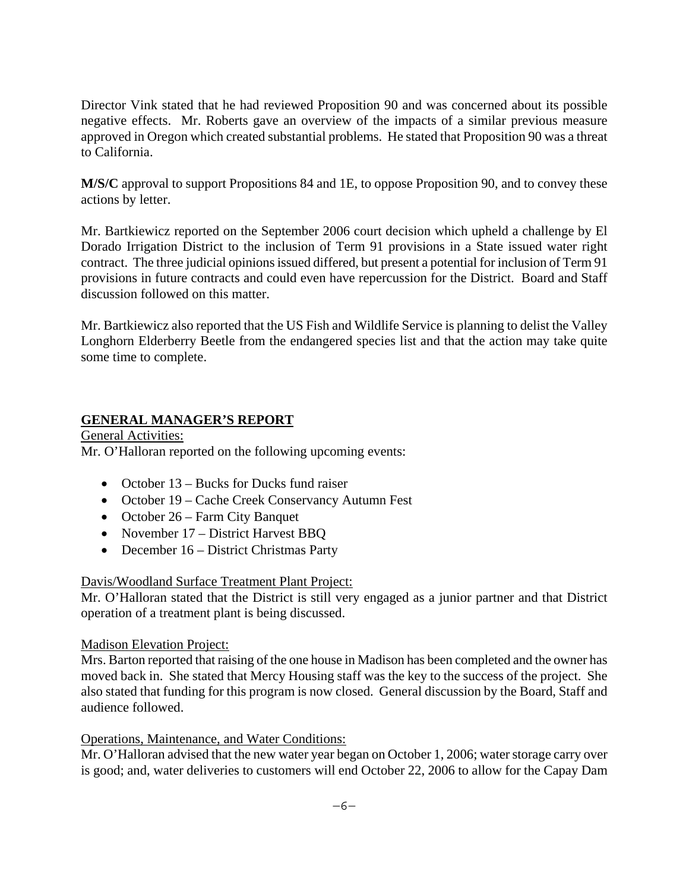Director Vink stated that he had reviewed Proposition 90 and was concerned about its possible negative effects. Mr. Roberts gave an overview of the impacts of a similar previous measure approved in Oregon which created substantial problems. He stated that Proposition 90 was a threat to California.

**M/S/C** approval to support Propositions 84 and 1E, to oppose Proposition 90, and to convey these actions by letter.

Mr. Bartkiewicz reported on the September 2006 court decision which upheld a challenge by El Dorado Irrigation District to the inclusion of Term 91 provisions in a State issued water right contract. The three judicial opinions issued differed, but present a potential for inclusion of Term 91 provisions in future contracts and could even have repercussion for the District. Board and Staff discussion followed on this matter.

Mr. Bartkiewicz also reported that the US Fish and Wildlife Service is planning to delist the Valley Longhorn Elderberry Beetle from the endangered species list and that the action may take quite some time to complete.

# **GENERAL MANAGER'S REPORT**

General Activities: Mr. O'Halloran reported on the following upcoming events:

- October 13 Bucks for Ducks fund raiser
- October 19 Cache Creek Conservancy Autumn Fest
- October 26 Farm City Banquet
- November 17 District Harvest BBQ
- December 16 District Christmas Party

# Davis/Woodland Surface Treatment Plant Project:

Mr. O'Halloran stated that the District is still very engaged as a junior partner and that District operation of a treatment plant is being discussed.

# Madison Elevation Project:

Mrs. Barton reported that raising of the one house in Madison has been completed and the owner has moved back in. She stated that Mercy Housing staff was the key to the success of the project. She also stated that funding for this program is now closed. General discussion by the Board, Staff and audience followed.

# Operations, Maintenance, and Water Conditions:

Mr. O'Halloran advised that the new water year began on October 1, 2006; water storage carry over is good; and, water deliveries to customers will end October 22, 2006 to allow for the Capay Dam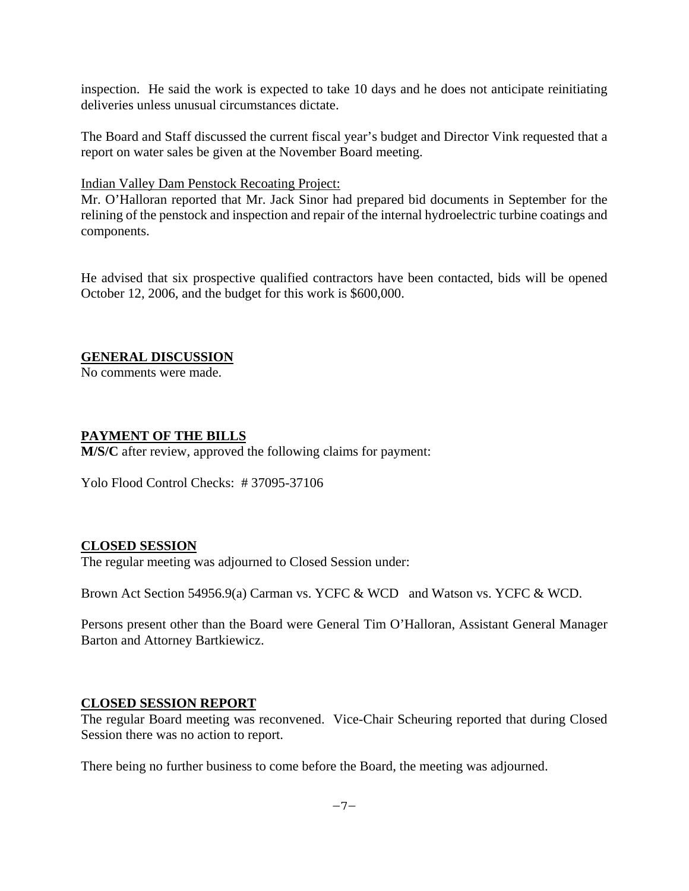inspection. He said the work is expected to take 10 days and he does not anticipate reinitiating deliveries unless unusual circumstances dictate.

The Board and Staff discussed the current fiscal year's budget and Director Vink requested that a report on water sales be given at the November Board meeting.

Indian Valley Dam Penstock Recoating Project:

Mr. O'Halloran reported that Mr. Jack Sinor had prepared bid documents in September for the relining of the penstock and inspection and repair of the internal hydroelectric turbine coatings and components.

He advised that six prospective qualified contractors have been contacted, bids will be opened October 12, 2006, and the budget for this work is \$600,000.

# **GENERAL DISCUSSION**

No comments were made.

# **PAYMENT OF THE BILLS**

**M/S/C** after review, approved the following claims for payment:

Yolo Flood Control Checks: # 37095-37106

# **CLOSED SESSION**

The regular meeting was adjourned to Closed Session under:

Brown Act Section 54956.9(a) Carman vs. YCFC & WCD and Watson vs. YCFC & WCD.

Persons present other than the Board were General Tim O'Halloran, Assistant General Manager Barton and Attorney Bartkiewicz.

# **CLOSED SESSION REPORT**

The regular Board meeting was reconvened. Vice-Chair Scheuring reported that during Closed Session there was no action to report.

There being no further business to come before the Board, the meeting was adjourned.